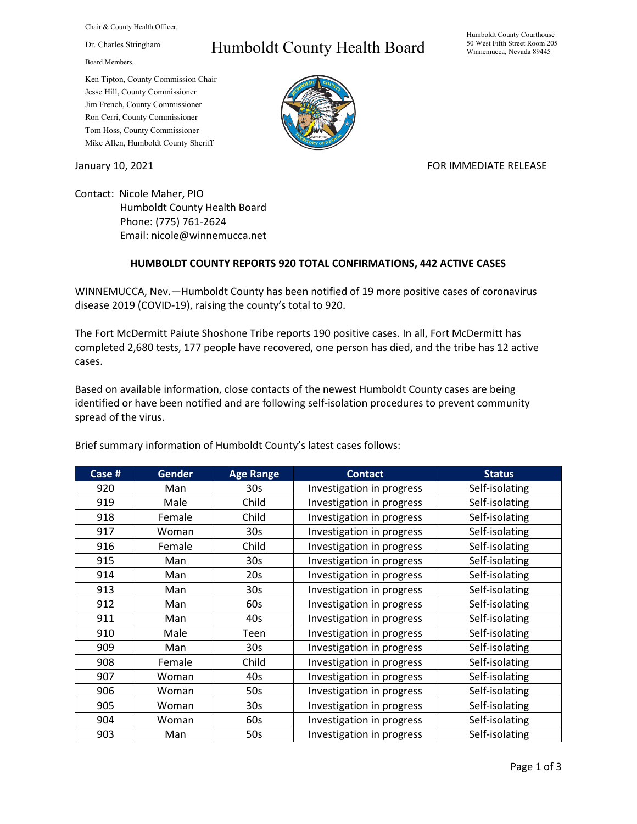Chair & County Health Officer,

Dr. Charles Stringham

Board Members,

## Ken Tipton, County Commission Chair Jesse Hill, County Commissioner Jim French, County Commissioner Ron Cerri, County Commissioner Tom Hoss, County Commissioner Mike Allen, Humboldt County Sheriff

## Humboldt County Health Board



## January 10, 2021 **FOR IMMEDIATE RELEASE**

Contact: Nicole Maher, PIO Humboldt County Health Board Phone: (775) 761-2624 Email: nicole@winnemucca.net

## **HUMBOLDT COUNTY REPORTS 920 TOTAL CONFIRMATIONS, 442 ACTIVE CASES**

WINNEMUCCA, Nev.—Humboldt County has been notified of 19 more positive cases of coronavirus disease 2019 (COVID-19), raising the county's total to 920.

The Fort McDermitt Paiute Shoshone Tribe reports 190 positive cases. In all, Fort McDermitt has completed 2,680 tests, 177 people have recovered, one person has died, and the tribe has 12 active cases.

Based on available information, close contacts of the newest Humboldt County cases are being identified or have been notified and are following self-isolation procedures to prevent community spread of the virus.

| Case # | <b>Gender</b> | <b>Age Range</b> | <b>Contact</b>            | <b>Status</b>  |
|--------|---------------|------------------|---------------------------|----------------|
| 920    | Man           | 30 <sub>s</sub>  | Investigation in progress | Self-isolating |
| 919    | Male          | Child            | Investigation in progress | Self-isolating |
| 918    | Female        | Child            | Investigation in progress | Self-isolating |
| 917    | Woman         | 30 <sub>s</sub>  | Investigation in progress | Self-isolating |
| 916    | Female        | Child            | Investigation in progress | Self-isolating |
| 915    | Man           | 30 <sub>s</sub>  | Investigation in progress | Self-isolating |
| 914    | Man           | 20s              | Investigation in progress | Self-isolating |
| 913    | Man           | 30 <sub>s</sub>  | Investigation in progress | Self-isolating |
| 912    | Man           | 60s              | Investigation in progress | Self-isolating |
| 911    | Man           | 40s              | Investigation in progress | Self-isolating |
| 910    | Male          | Teen             | Investigation in progress | Self-isolating |
| 909    | Man           | 30 <sub>s</sub>  | Investigation in progress | Self-isolating |
| 908    | Female        | Child            | Investigation in progress | Self-isolating |
| 907    | Woman         | 40s              | Investigation in progress | Self-isolating |
| 906    | Woman         | 50s              | Investigation in progress | Self-isolating |
| 905    | Woman         | 30 <sub>s</sub>  | Investigation in progress | Self-isolating |
| 904    | Woman         | 60s              | Investigation in progress | Self-isolating |
| 903    | Man           | 50s              | Investigation in progress | Self-isolating |

Brief summary information of Humboldt County's latest cases follows: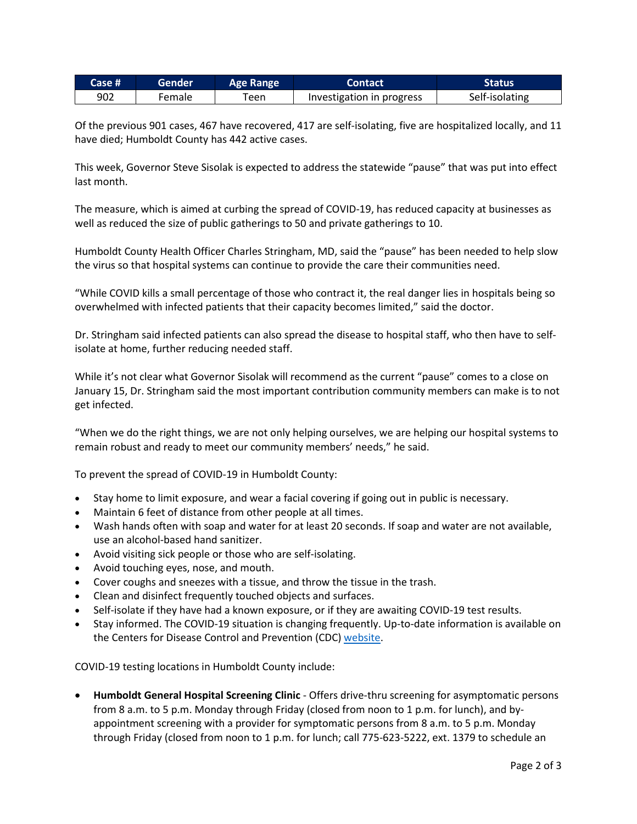| Case # | Gender | <b>Age Range</b> | <b>Contact</b>            | <b>Status</b>  |
|--------|--------|------------------|---------------------------|----------------|
| 902    | Female | een              | Investigation in progress | Self-isolating |

Of the previous 901 cases, 467 have recovered, 417 are self-isolating, five are hospitalized locally, and 11 have died; Humboldt County has 442 active cases.

This week, Governor Steve Sisolak is expected to address the statewide "pause" that was put into effect last month.

The measure, which is aimed at curbing the spread of COVID-19, has reduced capacity at businesses as well as reduced the size of public gatherings to 50 and private gatherings to 10.

Humboldt County Health Officer Charles Stringham, MD, said the "pause" has been needed to help slow the virus so that hospital systems can continue to provide the care their communities need.

"While COVID kills a small percentage of those who contract it, the real danger lies in hospitals being so overwhelmed with infected patients that their capacity becomes limited," said the doctor.

Dr. Stringham said infected patients can also spread the disease to hospital staff, who then have to selfisolate at home, further reducing needed staff.

While it's not clear what Governor Sisolak will recommend as the current "pause" comes to a close on January 15, Dr. Stringham said the most important contribution community members can make is to not get infected.

"When we do the right things, we are not only helping ourselves, we are helping our hospital systems to remain robust and ready to meet our community members' needs," he said.

To prevent the spread of COVID-19 in Humboldt County:

- Stay home to limit exposure, and wear a facial covering if going out in public is necessary.
- Maintain 6 feet of distance from other people at all times.
- Wash hands often with soap and water for at least 20 seconds. If soap and water are not available, use an alcohol-based hand sanitizer.
- Avoid visiting sick people or those who are self-isolating.
- Avoid touching eyes, nose, and mouth.
- Cover coughs and sneezes with a tissue, and throw the tissue in the trash.
- Clean and disinfect frequently touched objects and surfaces.
- Self-isolate if they have had a known exposure, or if they are awaiting COVID-19 test results.
- Stay informed. The COVID-19 situation is changing frequently. Up-to-date information is available on the Centers for Disease Control and Prevention (CDC) [website.](http://www.cdc.gov/coronavirus/2019-ncov/index.html)

COVID-19 testing locations in Humboldt County include:

• **Humboldt General Hospital Screening Clinic** - Offers drive-thru screening for asymptomatic persons from 8 a.m. to 5 p.m. Monday through Friday (closed from noon to 1 p.m. for lunch), and byappointment screening with a provider for symptomatic persons from 8 a.m. to 5 p.m. Monday through Friday (closed from noon to 1 p.m. for lunch; call 775-623-5222, ext. 1379 to schedule an